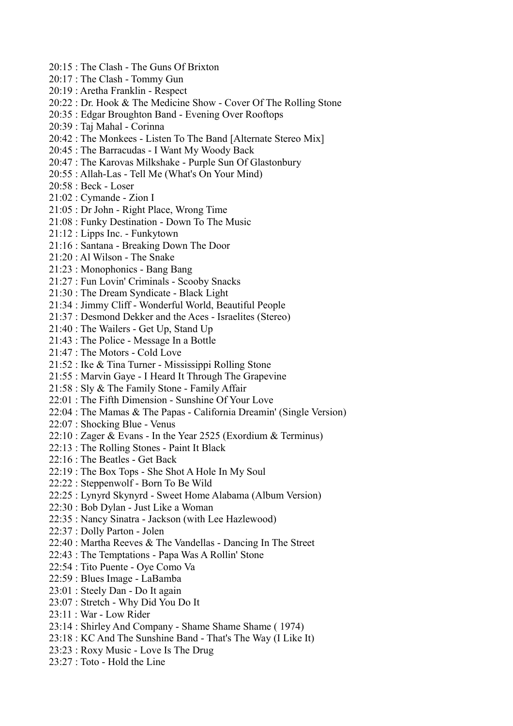- 20:15 : The Clash The Guns Of Brixton
- 20:17 : The Clash Tommy Gun
- 20:19 : Aretha Franklin Respect
- 20:22 : Dr. Hook & The Medicine Show Cover Of The Rolling Stone
- 20:35 : Edgar Broughton Band Evening Over Rooftops
- 20:39 : Taj Mahal Corinna
- 20:42 : The Monkees Listen To The Band [Alternate Stereo Mix]
- 20:45 : The Barracudas I Want My Woody Back
- 20:47 : The Karovas Milkshake Purple Sun Of Glastonbury
- 20:55 : Allah-Las Tell Me (What's On Your Mind)
- 20:58 : Beck Loser
- 21:02 : Cymande Zion I
- 21:05 : Dr John Right Place, Wrong Time
- 21:08 : Funky Destination Down To The Music
- 21:12 : Lipps Inc. Funkytown
- 21:16 : Santana Breaking Down The Door
- 21:20 : Al Wilson The Snake
- 21:23 : Monophonics Bang Bang
- 21:27 : Fun Lovin' Criminals Scooby Snacks
- 21:30 : The Dream Syndicate Black Light
- 21:34 : Jimmy Cliff Wonderful World, Beautiful People
- 21:37 : Desmond Dekker and the Aces Israelites (Stereo)
- 21:40 : The Wailers Get Up, Stand Up
- 21:43 : The Police Message In a Bottle
- 21:47 : The Motors Cold Love
- 21:52 : Ike & Tina Turner Mississippi Rolling Stone
- 21:55 : Marvin Gaye I Heard It Through The Grapevine
- 21:58 : Sly & The Family Stone Family Affair
- 22:01 : The Fifth Dimension Sunshine Of Your Love
- 22:04 : The Mamas & The Papas California Dreamin' (Single Version)
- 22:07 : Shocking Blue Venus
- 22:10 : Zager & Evans In the Year 2525 (Exordium & Terminus)
- 22:13 : The Rolling Stones Paint It Black
- 22:16 : The Beatles Get Back
- 22:19 : The Box Tops She Shot A Hole In My Soul
- 22:22 : Steppenwolf Born To Be Wild
- 22:25 : Lynyrd Skynyrd Sweet Home Alabama (Album Version)
- 22:30 : Bob Dylan Just Like a Woman
- 22:35 : Nancy Sinatra Jackson (with Lee Hazlewood)
- 22:37 : Dolly Parton Jolen
- 22:40 : Martha Reeves & The Vandellas Dancing In The Street
- 22:43 : The Temptations Papa Was A Rollin' Stone
- 22:54 : Tito Puente Oye Como Va
- 22:59 : Blues Image LaBamba
- 23:01 : Steely Dan Do It again
- 23:07 : Stretch Why Did You Do It
- 23:11 : War Low Rider
- 23:14 : Shirley And Company Shame Shame Shame ( 1974)
- 23:18 : KC And The Sunshine Band That's The Way (I Like It)
- 23:23 : Roxy Music Love Is The Drug
- 23:27 : Toto Hold the Line